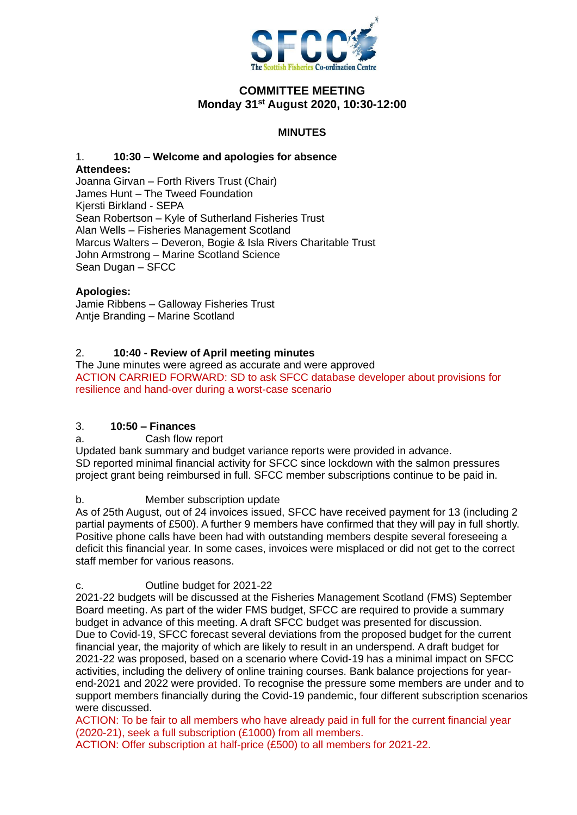

## **COMMITTEE MEETING Monday 31st August 2020, 10:30-12:00**

## **MINUTES**

# 1. **10:30 – Welcome and apologies for absence Attendees:**

Joanna Girvan – Forth Rivers Trust (Chair) James Hunt – The Tweed Foundation Kjersti Birkland - SEPA Sean Robertson – Kyle of Sutherland Fisheries Trust Alan Wells – Fisheries Management Scotland Marcus Walters – Deveron, Bogie & Isla Rivers Charitable Trust John Armstrong – Marine Scotland Science Sean Dugan – SFCC

#### **Apologies:**

Jamie Ribbens – Galloway Fisheries Trust Antje Branding – Marine Scotland

## 2. **10:40 - Review of April meeting minutes**

The June minutes were agreed as accurate and were approved ACTION CARRIED FORWARD: SD to ask SFCC database developer about provisions for resilience and hand-over during a worst-case scenario

#### 3. **10:50 – Finances**

a. Cash flow report

Updated bank summary and budget variance reports were provided in advance. SD reported minimal financial activity for SFCC since lockdown with the salmon pressures project grant being reimbursed in full. SFCC member subscriptions continue to be paid in.

#### b. Member subscription update

As of 25th August, out of 24 invoices issued, SFCC have received payment for 13 (including 2 partial payments of £500). A further 9 members have confirmed that they will pay in full shortly. Positive phone calls have been had with outstanding members despite several foreseeing a deficit this financial year. In some cases, invoices were misplaced or did not get to the correct staff member for various reasons.

#### c. Outline budget for 2021-22

2021-22 budgets will be discussed at the Fisheries Management Scotland (FMS) September Board meeting. As part of the wider FMS budget, SFCC are required to provide a summary budget in advance of this meeting. A draft SFCC budget was presented for discussion. Due to Covid-19, SFCC forecast several deviations from the proposed budget for the current financial year, the majority of which are likely to result in an underspend. A draft budget for 2021-22 was proposed, based on a scenario where Covid-19 has a minimal impact on SFCC activities, including the delivery of online training courses. Bank balance projections for yearend-2021 and 2022 were provided. To recognise the pressure some members are under and to support members financially during the Covid-19 pandemic, four different subscription scenarios were discussed.

ACTION: To be fair to all members who have already paid in full for the current financial year (2020-21), seek a full subscription (£1000) from all members.

ACTION: Offer subscription at half-price (£500) to all members for 2021-22.